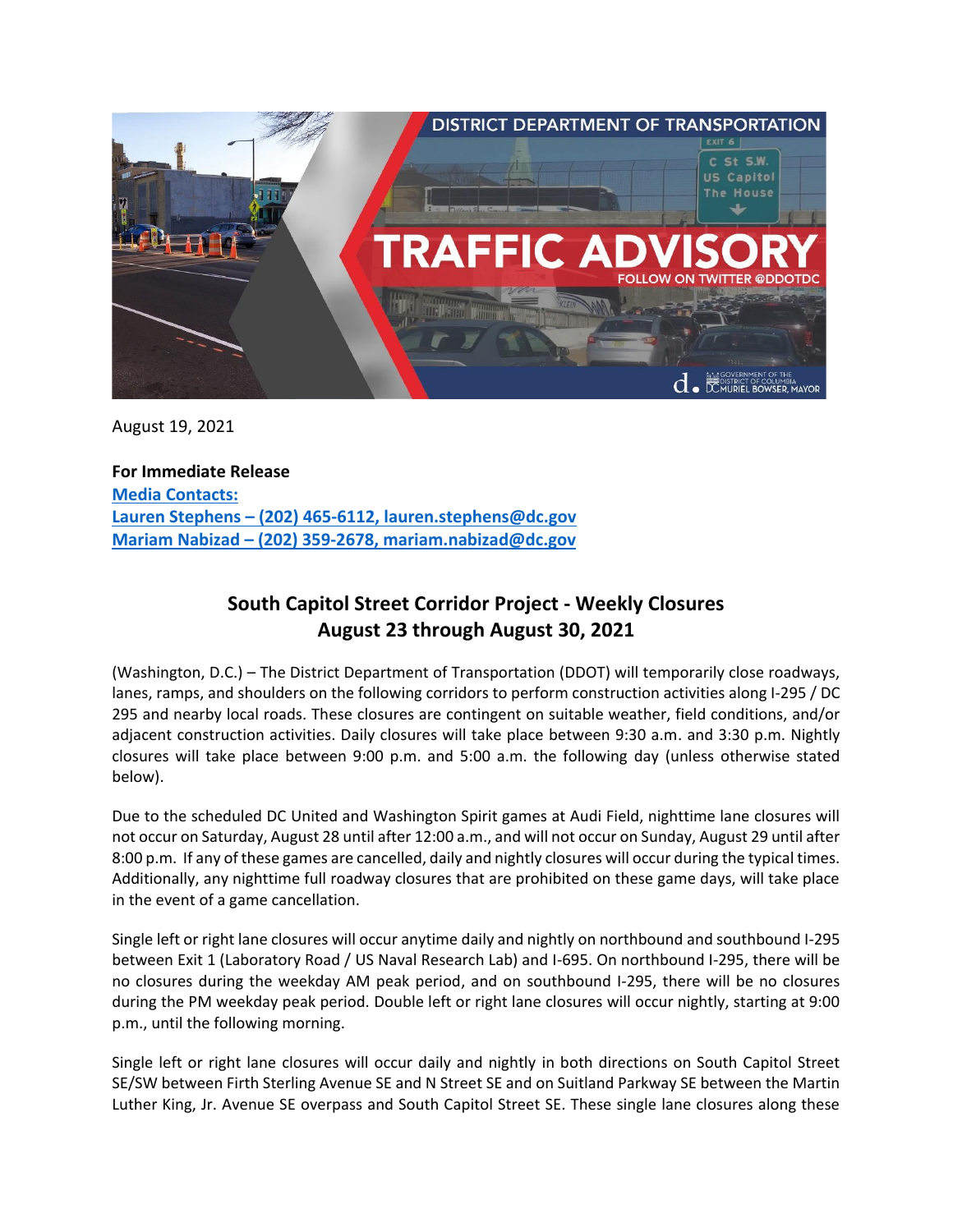

August 19, 2021

**For Immediate Release Media Contacts: Lauren Stephens – (202) 465-6112, lauren.stephens@dc.gov Mariam Nabizad – (202) 359-2678, mariam.nabizad@dc.gov**

## **South Capitol Street Corridor Project - Weekly Closures August 23 through August 30, 2021**

(Washington, D.C.) – The District Department of Transportation (DDOT) will temporarily close roadways, lanes, ramps, and shoulders on the following corridors to perform construction activities along I-295 / DC 295 and nearby local roads. These closures are contingent on suitable weather, field conditions, and/or adjacent construction activities. Daily closures will take place between 9:30 a.m. and 3:30 p.m. Nightly closures will take place between 9:00 p.m. and 5:00 a.m. the following day (unless otherwise stated below).

Due to the scheduled DC United and Washington Spirit games at Audi Field, nighttime lane closures will not occur on Saturday, August 28 until after 12:00 a.m., and will not occur on Sunday, August 29 until after 8:00 p.m. If any of these games are cancelled, daily and nightly closures will occur during the typical times. Additionally, any nighttime full roadway closures that are prohibited on these game days, will take place in the event of a game cancellation.

Single left or right lane closures will occur anytime daily and nightly on northbound and southbound I-295 between Exit 1 (Laboratory Road / US Naval Research Lab) and I-695. On northbound I-295, there will be no closures during the weekday AM peak period, and on southbound I-295, there will be no closures during the PM weekday peak period. Double left or right lane closures will occur nightly, starting at 9:00 p.m., until the following morning.

Single left or right lane closures will occur daily and nightly in both directions on South Capitol Street SE/SW between Firth Sterling Avenue SE and N Street SE and on Suitland Parkway SE between the Martin Luther King, Jr. Avenue SE overpass and South Capitol Street SE. These single lane closures along these